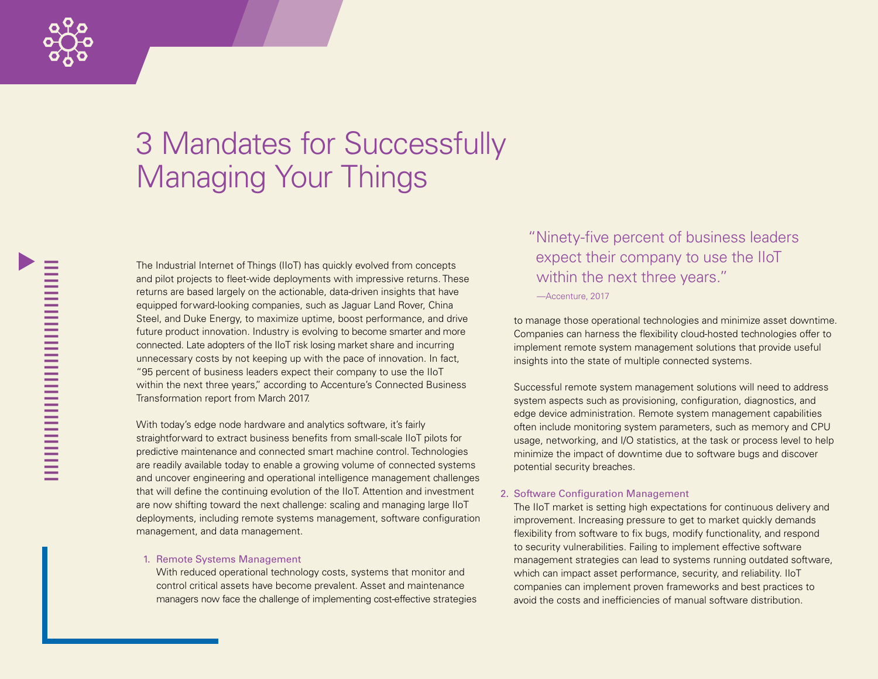

# 3 Mandates for Successfully Managing Your Things

The Industrial Internet of Things (IIoT) has quickly evolved from concepts and pilot projects to fleet-wide deployments with impressive returns. These returns are based largely on the actionable, data-driven insights that have equipped forward-looking companies, such as Jaguar Land Rover, China Steel, and Duke Energy, to maximize uptime, boost performance, and drive future product innovation. Industry is evolving to become smarter and more connected. Late adopters of the IIoT risk losing market share and incurring unnecessary costs by not keeping up with the pace of innovation. In fact, "95 percent of business leaders expect their company to use the IIoT within the next three years," according to Accenture's Connected Business Transformation report from March 2017.

With today's edge node hardware and analytics software, it's fairly straightforward to extract business benefits from small-scale IIoT pilots for predictive maintenance and connected smart machine control. Technologies are readily available today to enable a growing volume of connected systems and uncover engineering and operational intelligence management challenges that will define the continuing evolution of the IIoT. Attention and investment are now shifting toward the next challenge: scaling and managing large IIoT deployments, including remote systems management, software configuration management, and data management.

#### 1. Remote Systems Management

With reduced operational technology costs, systems that monitor and control critical assets have become prevalent. Asset and maintenance managers now face the challenge of implementing cost-effective strategies "Ninety-five percent of business leaders expect their company to use the IIoT within the next three years." *—*Accenture, 2017

to manage those operational technologies and minimize asset downtime. Companies can harness the flexibility cloud-hosted technologies offer to implement remote system management solutions that provide useful insights into the state of multiple connected systems.

Successful remote system management solutions will need to address system aspects such as provisioning, configuration, diagnostics, and edge device administration. Remote system management capabilities often include monitoring system parameters, such as memory and CPU usage, networking, and I/O statistics, at the task or process level to help minimize the impact of downtime due to software bugs and discover potential security breaches.

### 2. Software Configuration Management

The IIoT market is setting high expectations for continuous delivery and improvement. Increasing pressure to get to market quickly demands flexibility from software to fix bugs, modify functionality, and respond to security vulnerabilities. Failing to implement effective software management strategies can lead to systems running outdated software, which can impact asset performance, security, and reliability. IIoT companies can implement proven frameworks and best practices to avoid the costs and inefficiencies of manual software distribution.